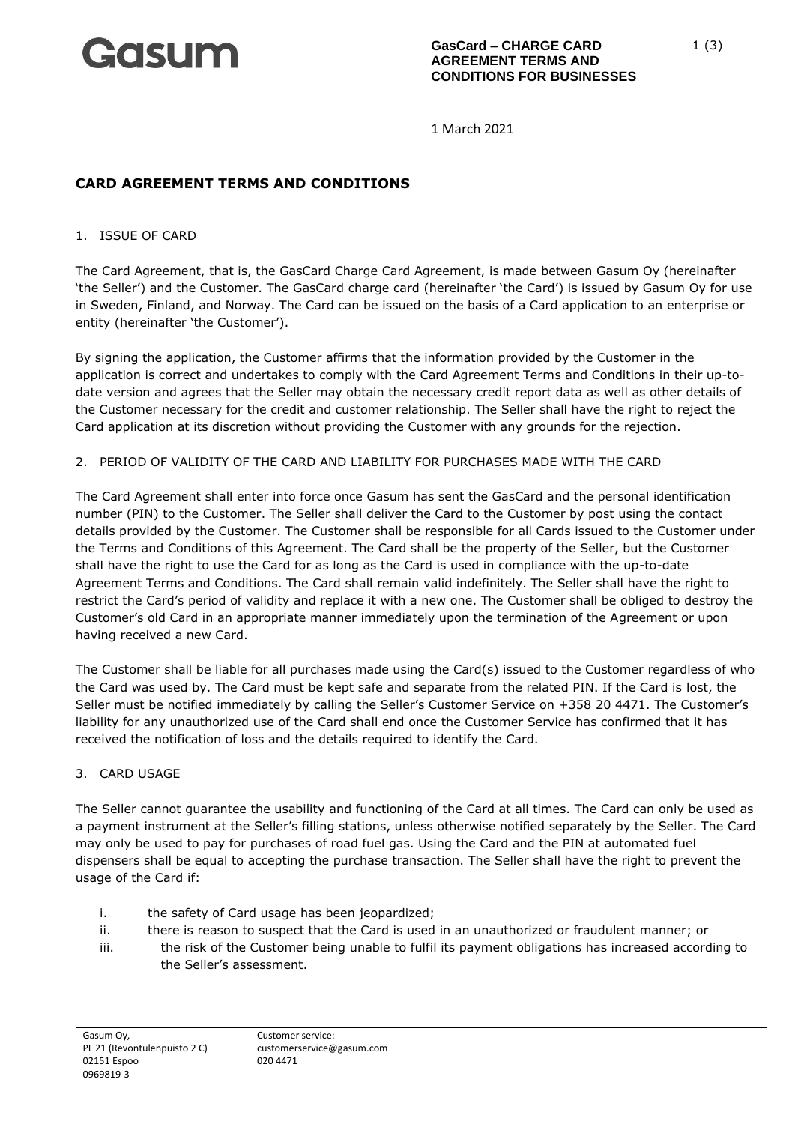

1 March 2021

# **CARD AGREEMENT TERMS AND CONDITIONS**

1. ISSUE OF CARD

The Card Agreement, that is, the GasCard Charge Card Agreement, is made between Gasum Oy (hereinafter 'the Seller') and the Customer. The GasCard charge card (hereinafter 'the Card') is issued by Gasum Oy for use in Sweden, Finland, and Norway. The Card can be issued on the basis of a Card application to an enterprise or entity (hereinafter 'the Customer').

By signing the application, the Customer affirms that the information provided by the Customer in the application is correct and undertakes to comply with the Card Agreement Terms and Conditions in their up-todate version and agrees that the Seller may obtain the necessary credit report data as well as other details of the Customer necessary for the credit and customer relationship. The Seller shall have the right to reject the Card application at its discretion without providing the Customer with any grounds for the rejection.

## 2. PERIOD OF VALIDITY OF THE CARD AND LIABILITY FOR PURCHASES MADE WITH THE CARD

The Card Agreement shall enter into force once Gasum has sent the GasCard and the personal identification number (PIN) to the Customer. The Seller shall deliver the Card to the Customer by post using the contact details provided by the Customer. The Customer shall be responsible for all Cards issued to the Customer under the Terms and Conditions of this Agreement. The Card shall be the property of the Seller, but the Customer shall have the right to use the Card for as long as the Card is used in compliance with the up-to-date Agreement Terms and Conditions. The Card shall remain valid indefinitely. The Seller shall have the right to restrict the Card's period of validity and replace it with a new one. The Customer shall be obliged to destroy the Customer's old Card in an appropriate manner immediately upon the termination of the Agreement or upon having received a new Card.

The Customer shall be liable for all purchases made using the Card(s) issued to the Customer regardless of who the Card was used by. The Card must be kept safe and separate from the related PIN. If the Card is lost, the Seller must be notified immediately by calling the Seller's Customer Service on +358 20 4471. The Customer's liability for any unauthorized use of the Card shall end once the Customer Service has confirmed that it has received the notification of loss and the details required to identify the Card.

#### 3. CARD USAGE

The Seller cannot guarantee the usability and functioning of the Card at all times. The Card can only be used as a payment instrument at the Seller's filling stations, unless otherwise notified separately by the Seller. The Card may only be used to pay for purchases of road fuel gas. Using the Card and the PIN at automated fuel dispensers shall be equal to accepting the purchase transaction. The Seller shall have the right to prevent the usage of the Card if:

- i. the safety of Card usage has been jeopardized;
- ii. there is reason to suspect that the Card is used in an unauthorized or fraudulent manner; or
- iii. the risk of the Customer being unable to fulfil its payment obligations has increased according to the Seller's assessment.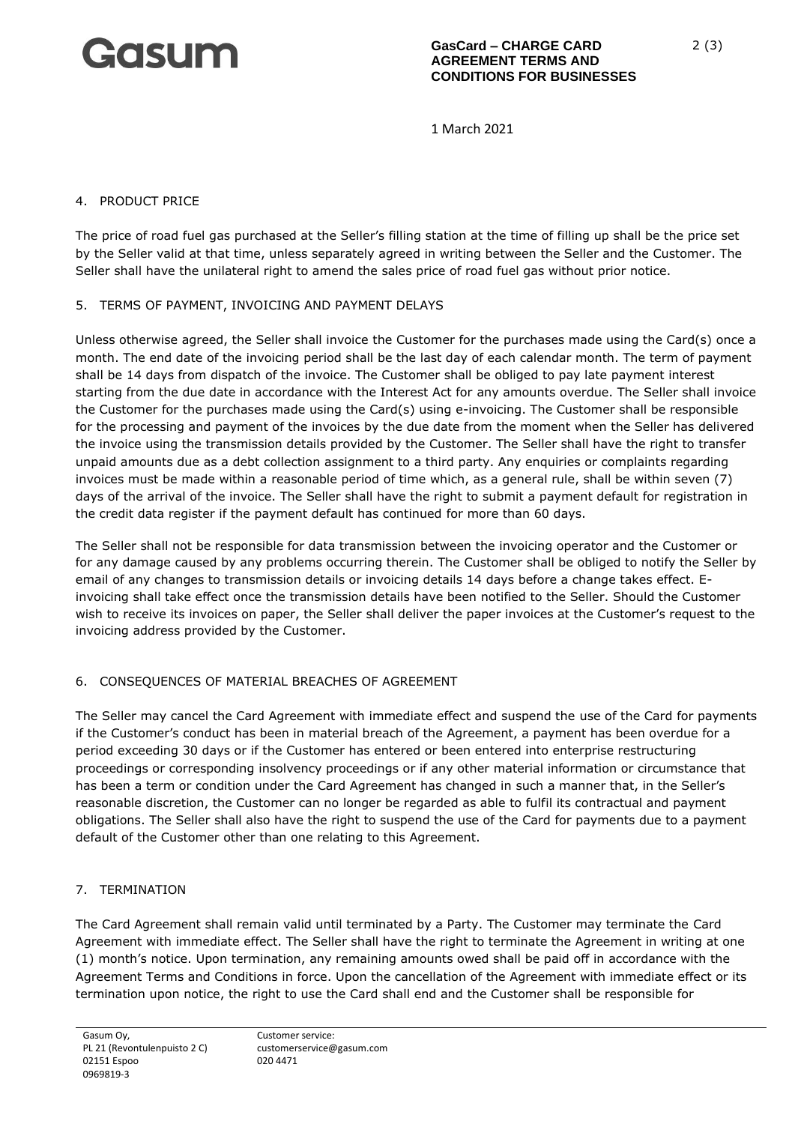

1 March 2021

#### 4. PRODUCT PRICE

The price of road fuel gas purchased at the Seller's filling station at the time of filling up shall be the price set by the Seller valid at that time, unless separately agreed in writing between the Seller and the Customer. The Seller shall have the unilateral right to amend the sales price of road fuel gas without prior notice.

## 5. TERMS OF PAYMENT, INVOICING AND PAYMENT DELAYS

Unless otherwise agreed, the Seller shall invoice the Customer for the purchases made using the Card(s) once a month. The end date of the invoicing period shall be the last day of each calendar month. The term of payment shall be 14 days from dispatch of the invoice. The Customer shall be obliged to pay late payment interest starting from the due date in accordance with the Interest Act for any amounts overdue. The Seller shall invoice the Customer for the purchases made using the Card(s) using e-invoicing. The Customer shall be responsible for the processing and payment of the invoices by the due date from the moment when the Seller has delivered the invoice using the transmission details provided by the Customer. The Seller shall have the right to transfer unpaid amounts due as a debt collection assignment to a third party. Any enquiries or complaints regarding invoices must be made within a reasonable period of time which, as a general rule, shall be within seven (7) days of the arrival of the invoice. The Seller shall have the right to submit a payment default for registration in the credit data register if the payment default has continued for more than 60 days.

The Seller shall not be responsible for data transmission between the invoicing operator and the Customer or for any damage caused by any problems occurring therein. The Customer shall be obliged to notify the Seller by email of any changes to transmission details or invoicing details 14 days before a change takes effect. Einvoicing shall take effect once the transmission details have been notified to the Seller. Should the Customer wish to receive its invoices on paper, the Seller shall deliver the paper invoices at the Customer's request to the invoicing address provided by the Customer.

# 6. CONSEQUENCES OF MATERIAL BREACHES OF AGREEMENT

The Seller may cancel the Card Agreement with immediate effect and suspend the use of the Card for payments if the Customer's conduct has been in material breach of the Agreement, a payment has been overdue for a period exceeding 30 days or if the Customer has entered or been entered into enterprise restructuring proceedings or corresponding insolvency proceedings or if any other material information or circumstance that has been a term or condition under the Card Agreement has changed in such a manner that, in the Seller's reasonable discretion, the Customer can no longer be regarded as able to fulfil its contractual and payment obligations. The Seller shall also have the right to suspend the use of the Card for payments due to a payment default of the Customer other than one relating to this Agreement.

# 7. TERMINATION

The Card Agreement shall remain valid until terminated by a Party. The Customer may terminate the Card Agreement with immediate effect. The Seller shall have the right to terminate the Agreement in writing at one (1) month's notice. Upon termination, any remaining amounts owed shall be paid off in accordance with the Agreement Terms and Conditions in force. Upon the cancellation of the Agreement with immediate effect or its termination upon notice, the right to use the Card shall end and the Customer shall be responsible for